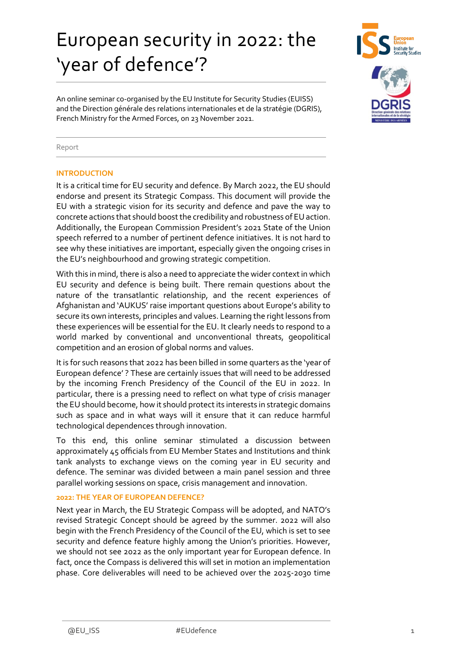# European security in 2022: the 'year of defence'?



An online seminar co-organised by the EU Institute for Security Studies (EUISS) and the Direction générale des relations internationales et de la stratégie (DGRIS), French Ministry for the Armed Forces, on 23 November 2021.

#### Report

#### **INTRODUCTION**

It is a critical time for EU security and defence. By March 2022, the EU should endorse and present its Strategic Compass. This document will provide the EU with a strategic vision for its security and defence and pave the way to concrete actions that should boost the credibility and robustness of EU action. Additionally, the European Commission President's 2021 State of the Union speech referred to a number of pertinent defence initiatives. It is not hard to see why these initiatives are important, especially given the ongoing crises in the EU's neighbourhood and growing strategic competition.

With this in mind, there is also a need to appreciate the wider context in which EU security and defence is being built. There remain questions about the nature of the transatlantic relationship, and the recent experiences of Afghanistan and 'AUKUS' raise important questions about Europe's ability to secure its own interests, principles and values. Learning the right lessons from these experiences will be essential for the EU. It clearly needs to respond to a world marked by conventional and unconventional threats, geopolitical competition and an erosion of global norms and values.

It is for such reasons that 2022 has been billed in some quarters as the 'year of European defence' ? These are certainly issues that will need to be addressed by the incoming French Presidency of the Council of the EU in 2022. In particular, there is a pressing need to reflect on what type of crisis manager the EU should become, how it should protect its interests in strategic domains such as space and in what ways will it ensure that it can reduce harmful technological dependences through innovation.

To this end, this online seminar stimulated a discussion between approximately 45 officials from EU Member States and Institutions and think tank analysts to exchange views on the coming year in EU security and defence. The seminar was divided between a main panel session and three parallel working sessions on space, crisis management and innovation.

### **2022: THE YEAR OF EUROPEAN DEFENCE?**

Next year in March, the EU Strategic Compass will be adopted, and NATO's revised Strategic Concept should be agreed by the summer. 2022 will also begin with the French Presidency of the Council of the EU, which is set to see security and defence feature highly among the Union's priorities. However, we should not see 2022 as the only important year for European defence. In fact, once the Compass is delivered this will set in motion an implementation phase. Core deliverables will need to be achieved over the 2025-2030 time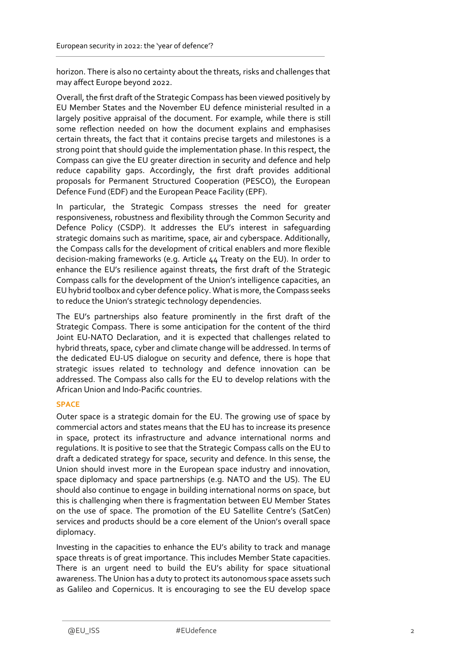horizon. There is also no certainty about the threats, risks and challenges that may affect Europe beyond 2022.

Overall, the first draft of the Strategic Compass has been viewed positively by EU Member States and the November EU defence ministerial resulted in a largely positive appraisal of the document. For example, while there is still some reflection needed on how the document explains and emphasises certain threats, the fact that it contains precise targets and milestones is a strong point that should guide the implementation phase. In this respect, the Compass can give the EU greater direction in security and defence and help reduce capability gaps. Accordingly, the first draft provides additional proposals for Permanent Structured Cooperation (PESCO), the European Defence Fund (EDF) and the European Peace Facility (EPF).

In particular, the Strategic Compass stresses the need for greater responsiveness, robustness and flexibility through the Common Security and Defence Policy (CSDP). It addresses the EU's interest in safeguarding strategic domains such as maritime, space, air and cyberspace. Additionally, the Compass calls for the development of critical enablers and more flexible decision-making frameworks (e.g. Article 44 Treaty on the EU). In order to enhance the EU's resilience against threats, the first draft of the Strategic Compass calls for the development of the Union's intelligence capacities, an EU hybrid toolbox and cyber defence policy. What is more, the Compass seeks to reduce the Union's strategic technology dependencies.

The EU's partnerships also feature prominently in the first draft of the Strategic Compass. There is some anticipation for the content of the third Joint EU-NATO Declaration, and it is expected that challenges related to hybrid threats, space, cyber and climate change will be addressed. In terms of the dedicated EU-US dialogue on security and defence, there is hope that strategic issues related to technology and defence innovation can be addressed. The Compass also calls for the EU to develop relations with the African Union and Indo-Pacific countries.

# **SPACE**

Outer space is a strategic domain for the EU. The growing use of space by commercial actors and states means that the EU has to increase its presence in space, protect its infrastructure and advance international norms and regulations. It is positive to see that the Strategic Compass calls on the EU to draft a dedicated strategy for space, security and defence. In this sense, the Union should invest more in the European space industry and innovation, space diplomacy and space partnerships (e.g. NATO and the US). The EU should also continue to engage in building international norms on space, but this is challenging when there is fragmentation between EU Member States on the use of space. The promotion of the EU Satellite Centre's (SatCen) services and products should be a core element of the Union's overall space diplomacy.

Investing in the capacities to enhance the EU's ability to track and manage space threats is of great importance. This includes Member State capacities. There is an urgent need to build the EU's ability for space situational awareness. The Union has a duty to protect its autonomous space assets such as Galileo and Copernicus. It is encouraging to see the EU develop space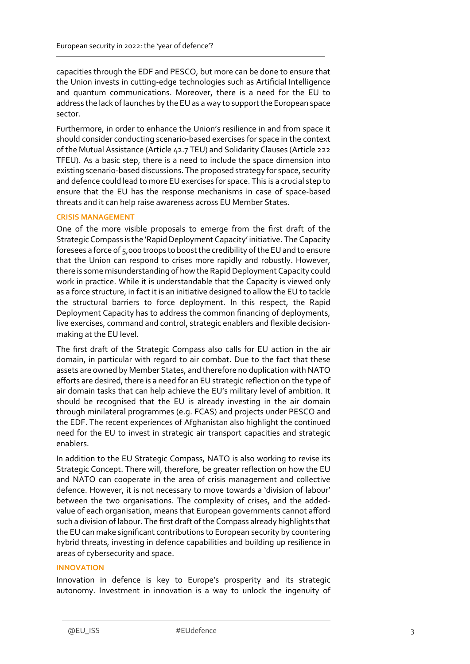capacities through the EDF and PESCO, but more can be done to ensure that the Union invests in cutting-edge technologies such as Artificial Intelligence and quantum communications. Moreover, there is a need for the EU to address the lack of launches by the EU as a way to support the European space sector.

Furthermore, in order to enhance the Union's resilience in and from space it should consider conducting scenario-based exercises for space in the context of the Mutual Assistance (Article 42.7 TEU) and Solidarity Clauses (Article 222 TFEU). As a basic step, there is a need to include the space dimension into existing scenario-based discussions. The proposed strategy for space, security and defence could lead to more EU exercises for space. This is a crucial step to ensure that the EU has the response mechanisms in case of space-based threats and it can help raise awareness across EU Member States.

## **CRISIS MANAGEMENT**

One of the more visible proposals to emerge from the first draft of the Strategic Compass is the 'Rapid Deployment Capacity' initiative. The Capacity foresees a force of 5,000 troops to boost the credibility of the EUand to ensure that the Union can respond to crises more rapidly and robustly. However, there is some misunderstanding of how the Rapid Deployment Capacity could work in practice. While it is understandable that the Capacity is viewed only as a force structure, in fact it is an initiative designed to allow the EU to tackle the structural barriers to force deployment. In this respect, the Rapid Deployment Capacity has to address the common financing of deployments, live exercises, command and control, strategic enablers and flexible decisionmaking at the EU level.

The first draft of the Strategic Compass also calls for EU action in the air domain, in particular with regard to air combat. Due to the fact that these assets are owned by Member States, and therefore no duplication with NATO efforts are desired, there is a need for an EU strategic reflection on the type of air domain tasks that can help achieve the EU's military level of ambition. It should be recognised that the EU is already investing in the air domain through minilateral programmes (e.g. FCAS) and projects under PESCO and the EDF. The recent experiences of Afghanistan also highlight the continued need for the EU to invest in strategic air transport capacities and strategic enablers.

In addition to the EU Strategic Compass, NATO is also working to revise its Strategic Concept. There will, therefore, be greater reflection on how the EU and NATO can cooperate in the area of crisis management and collective defence. However, it is not necessary to move towards a 'division of labour' between the two organisations. The complexity of crises, and the addedvalue of each organisation, means that European governments cannot afford such a division of labour. The first draft of the Compass already highlights that the EU can make significant contributions to European security by countering hybrid threats, investing in defence capabilities and building up resilience in areas of cybersecurity and space.

# **INNOVATION**

Innovation in defence is key to Europe's prosperity and its strategic autonomy. Investment in innovation is a way to unlock the ingenuity of